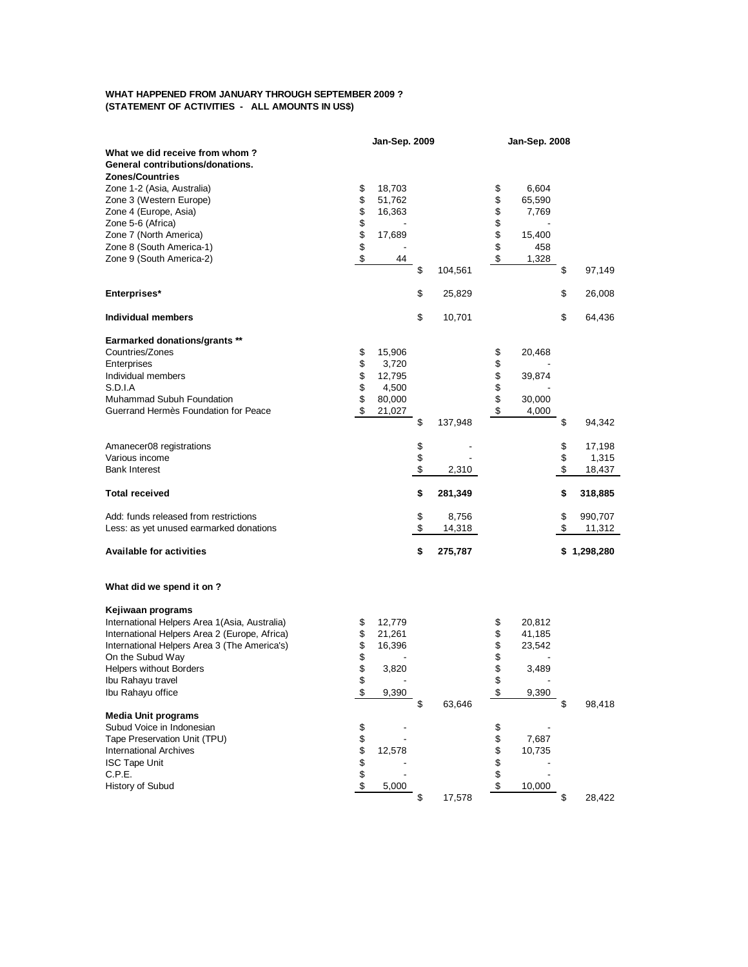## **WHAT HAPPENED FROM JANUARY THROUGH SEPTEMBER 2009 ? (STATEMENT OF ACTIVITIES - ALL AMOUNTS IN US\$)**

|                                               |        | Jan-Sep. 2009 |               | Jan-Sep. 2008 |               |
|-----------------------------------------------|--------|---------------|---------------|---------------|---------------|
| What we did receive from whom?                |        |               |               |               |               |
| General contributions/donations.              |        |               |               |               |               |
| <b>Zones/Countries</b>                        |        |               |               |               |               |
| Zone 1-2 (Asia, Australia)                    | \$     | 18,703        |               | \$<br>6,604   |               |
| Zone 3 (Western Europe)                       | \$     | 51,762        |               | \$<br>65,590  |               |
| Zone 4 (Europe, Asia)                         | \$     | 16,363        |               | \$<br>7,769   |               |
| Zone 5-6 (Africa)                             | \$     |               |               | \$            |               |
| Zone 7 (North America)                        | \$     | 17,689        |               | \$<br>15,400  |               |
| Zone 8 (South America-1)                      | \$     |               |               | \$<br>458     |               |
| Zone 9 (South America-2)                      | \$     | 44            |               | \$<br>1,328   |               |
|                                               |        |               | \$<br>104,561 |               | \$<br>97,149  |
| Enterprises*                                  |        |               | \$<br>25,829  |               | \$<br>26,008  |
|                                               |        |               |               |               |               |
| Individual members                            |        |               | \$<br>10,701  |               | \$<br>64,436  |
| Earmarked donations/grants **                 |        |               |               |               |               |
| Countries/Zones                               | \$     | 15,906        |               | \$<br>20,468  |               |
| Enterprises                                   | \$     | 3,720         |               | \$            |               |
| Individual members                            | \$     | 12,795        |               | \$<br>39,874  |               |
| S.D.I.A                                       | \$     | 4,500         |               | \$            |               |
| Muhammad Subuh Foundation                     | \$     | 80,000        |               | \$<br>30,000  |               |
| Guerrand Hermès Foundation for Peace          | \$     | 21,027        |               | \$<br>4,000   |               |
|                                               |        |               | \$<br>137,948 |               | \$<br>94,342  |
|                                               |        |               |               |               |               |
| Amanecer08 registrations                      |        |               | \$            |               | \$<br>17,198  |
| Various income                                |        |               | \$            |               | \$<br>1,315   |
| <b>Bank Interest</b>                          |        |               | \$<br>2,310   |               | \$<br>18,437  |
| <b>Total received</b>                         |        |               | \$<br>281,349 |               | \$<br>318,885 |
|                                               |        |               |               |               |               |
| Add: funds released from restrictions         |        |               | \$<br>8,756   |               | \$<br>990,707 |
| Less: as yet unused earmarked donations       |        |               | \$<br>14,318  |               | \$<br>11,312  |
| <b>Available for activities</b>               |        |               | \$<br>275,787 |               | \$1,298,280   |
| What did we spend it on ?                     |        |               |               |               |               |
| Kejiwaan programs                             |        |               |               |               |               |
| International Helpers Area 1(Asia, Australia) | \$     | 12,779        |               | \$<br>20,812  |               |
| International Helpers Area 2 (Europe, Africa) | \$     | 21,261        |               | \$<br>41,185  |               |
| International Helpers Area 3 (The America's)  | \$     | 16,396        |               | \$<br>23,542  |               |
| On the Subud Way                              | \$     |               |               | \$            |               |
| <b>Helpers without Borders</b>                | \$     | 3,820         |               | \$<br>3,489   |               |
| Ibu Rahayu travel                             | \$     |               |               | \$            |               |
| Ibu Rahayu office                             | \$     | 9,390         |               | \$<br>9,390   |               |
|                                               |        |               | \$<br>63,646  |               | \$<br>98,418  |
| <b>Media Unit programs</b>                    |        |               |               |               |               |
| Subud Voice in Indonesian                     | \$     |               |               | \$            |               |
| Tape Preservation Unit (TPU)                  |        |               |               | \$<br>7,687   |               |
| <b>International Archives</b>                 |        | 12,578        |               | \$<br>10,735  |               |
| <b>ISC Tape Unit</b>                          | \$\$\$ |               |               | \$            |               |
| C.P.E.                                        |        |               |               | \$            |               |
| History of Subud                              | \$     | 5,000         |               | \$<br>10,000  |               |
|                                               |        |               | \$<br>17,578  |               | \$<br>28,422  |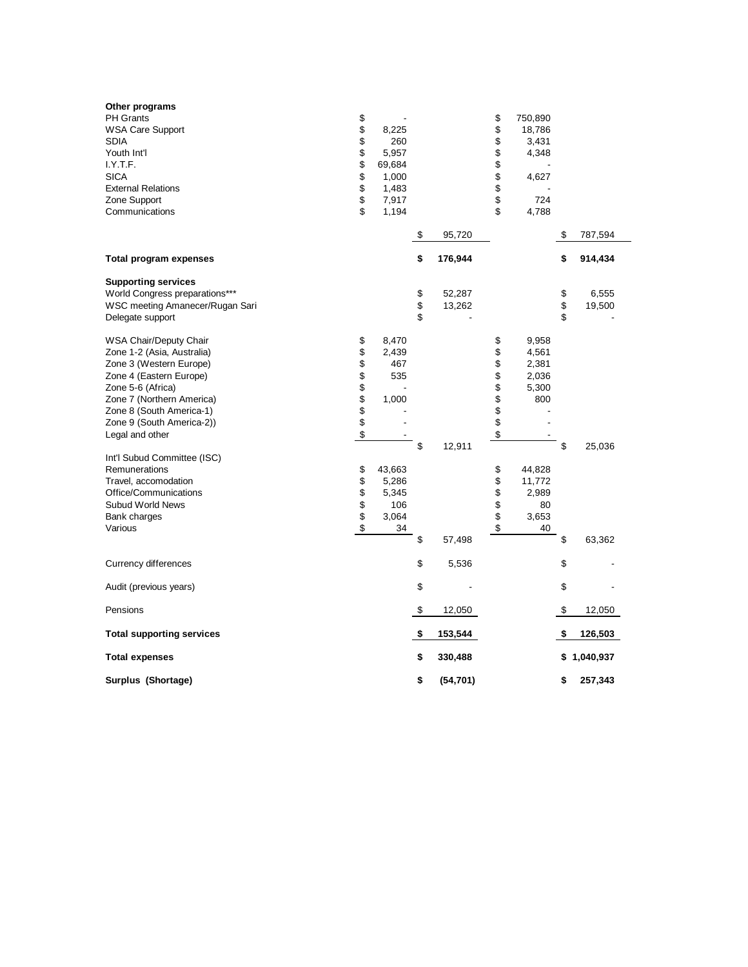| Other programs<br><b>PH Grants</b><br><b>WSA Care Support</b><br><b>SDIA</b><br>Youth Int'l<br>I.Y.T.F.<br><b>SICA</b><br><b>External Relations</b><br>Zone Support<br>Communications                                                    | \$<br>\$<br>\$<br>\$<br>\$<br>\$<br>\$<br>\$<br>\$ | 8,225<br>260<br>5,957<br>69,684<br>1,000<br>1,483<br>7,917<br>1,194 |                |                  | \$<br>\$<br>\$<br>\$<br>\$<br>\$<br>\$<br>\$<br>\$ | 750,890<br>18,786<br>3,431<br>4,348<br>4,627<br>724<br>4,788 |                   |                 |
|------------------------------------------------------------------------------------------------------------------------------------------------------------------------------------------------------------------------------------------|----------------------------------------------------|---------------------------------------------------------------------|----------------|------------------|----------------------------------------------------|--------------------------------------------------------------|-------------------|-----------------|
|                                                                                                                                                                                                                                          |                                                    |                                                                     | \$             | 95,720           |                                                    |                                                              | \$                | 787,594         |
| <b>Total program expenses</b>                                                                                                                                                                                                            |                                                    |                                                                     | \$             | 176,944          |                                                    |                                                              | \$                | 914,434         |
| <b>Supporting services</b><br>World Congress preparations***<br>WSC meeting Amanecer/Rugan Sari<br>Delegate support                                                                                                                      |                                                    |                                                                     | \$<br>\$<br>\$ | 52,287<br>13,262 |                                                    |                                                              | \$<br>\$<br>\$    | 6,555<br>19,500 |
| WSA Chair/Deputy Chair<br>Zone 1-2 (Asia, Australia)<br>Zone 3 (Western Europe)<br>Zone 4 (Eastern Europe)<br>Zone 5-6 (Africa)<br>Zone 7 (Northern America)<br>Zone 8 (South America-1)<br>Zone 9 (South America-2))<br>Legal and other | \$<br>\$<br>\$<br>\$<br>\$\$<br>\$<br>\$           | 8,470<br>2,439<br>467<br>535<br>1,000                               | \$             | 12,911           | \$<br>\$<br>\$<br>\$<br>\$<br>\$<br>\$<br>\$<br>\$ | 9,958<br>4,561<br>2,381<br>2,036<br>5,300<br>800             | \$                | 25,036          |
| Int'l Subud Committee (ISC)<br>Remunerations<br>Travel, accomodation<br>Office/Communications<br><b>Subud World News</b><br>Bank charges<br>Various                                                                                      | \$<br>\$<br>\$<br>\$<br>\$<br>\$                   | 43,663<br>5,286<br>5,345<br>106<br>3,064<br>34                      | \$             | 57,498           | \$<br>\$<br>\$<br>\$<br>\$<br>\$                   | 44,828<br>11,772<br>2,989<br>80<br>3,653<br>40               | \$                | 63,362          |
| Currency differences                                                                                                                                                                                                                     |                                                    |                                                                     | \$             | 5,536            |                                                    |                                                              | \$                |                 |
| Audit (previous years)                                                                                                                                                                                                                   |                                                    |                                                                     | \$             |                  |                                                    |                                                              | \$                |                 |
|                                                                                                                                                                                                                                          |                                                    |                                                                     |                |                  |                                                    |                                                              |                   |                 |
| Pensions                                                                                                                                                                                                                                 |                                                    |                                                                     | \$             | 12,050           |                                                    |                                                              | $\boldsymbol{\$}$ | 12,050          |
| <b>Total supporting services</b>                                                                                                                                                                                                         |                                                    |                                                                     | \$             | 153,544          |                                                    |                                                              | \$                | 126,503         |
| <b>Total expenses</b>                                                                                                                                                                                                                    |                                                    |                                                                     | \$             | 330,488          |                                                    |                                                              | \$                | 1,040,937       |
| Surplus (Shortage)                                                                                                                                                                                                                       |                                                    |                                                                     | \$             | (54, 701)        |                                                    |                                                              | \$                | 257,343         |